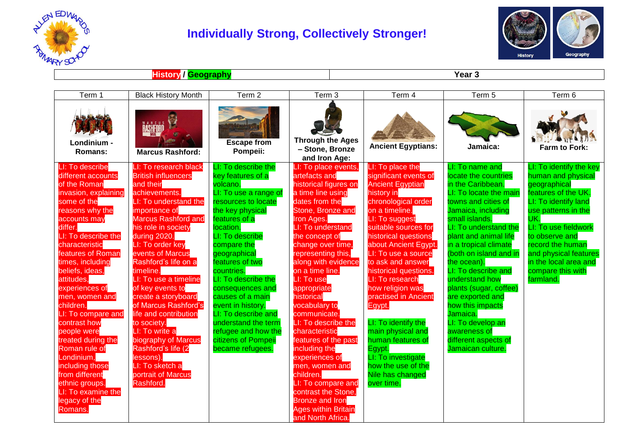

## **Individually Strong, Collectively Stronger!**



**History / Geography Year 3**

| Term 1                                                                                                                                                                                                                                                                                                                                                                                                                                                                                                                            | <b>Black History Month</b>                                                                                                                                                                                                                                                                                                                                                                                                                                                                                                                          | Term 2                                                                                                                                                                                                                                                                                                                                                                                                                                        | Term 3                                                                                                                                                                                                                                                                                                                                                                                                                                                                                                                                                                                                       | Term 4                                                                                                                                                                                                                                                                                                                                                                                                                                                                                                                       | Term 5                                                                                                                                                                                                                                                                                                                                                                                                                                                                            | Term 6                                                                                                                                                                                                                                                                                       |
|-----------------------------------------------------------------------------------------------------------------------------------------------------------------------------------------------------------------------------------------------------------------------------------------------------------------------------------------------------------------------------------------------------------------------------------------------------------------------------------------------------------------------------------|-----------------------------------------------------------------------------------------------------------------------------------------------------------------------------------------------------------------------------------------------------------------------------------------------------------------------------------------------------------------------------------------------------------------------------------------------------------------------------------------------------------------------------------------------------|-----------------------------------------------------------------------------------------------------------------------------------------------------------------------------------------------------------------------------------------------------------------------------------------------------------------------------------------------------------------------------------------------------------------------------------------------|--------------------------------------------------------------------------------------------------------------------------------------------------------------------------------------------------------------------------------------------------------------------------------------------------------------------------------------------------------------------------------------------------------------------------------------------------------------------------------------------------------------------------------------------------------------------------------------------------------------|------------------------------------------------------------------------------------------------------------------------------------------------------------------------------------------------------------------------------------------------------------------------------------------------------------------------------------------------------------------------------------------------------------------------------------------------------------------------------------------------------------------------------|-----------------------------------------------------------------------------------------------------------------------------------------------------------------------------------------------------------------------------------------------------------------------------------------------------------------------------------------------------------------------------------------------------------------------------------------------------------------------------------|----------------------------------------------------------------------------------------------------------------------------------------------------------------------------------------------------------------------------------------------------------------------------------------------|
| Londinium -<br>Romans:                                                                                                                                                                                                                                                                                                                                                                                                                                                                                                            | <b>ŘÁSHÉORD</b><br><b>Marcus Rashford:</b>                                                                                                                                                                                                                                                                                                                                                                                                                                                                                                          | <b>Escape from</b><br>Pompeii:                                                                                                                                                                                                                                                                                                                                                                                                                | <b>Through the Ages</b><br>- Stone, Bronze<br>and Iron Age:                                                                                                                                                                                                                                                                                                                                                                                                                                                                                                                                                  | <b>Ancient Egyptians:</b>                                                                                                                                                                                                                                                                                                                                                                                                                                                                                                    | Jamaica:                                                                                                                                                                                                                                                                                                                                                                                                                                                                          | Farm to Fork:                                                                                                                                                                                                                                                                                |
| LI: To describe<br>different accounts<br>of the Roman<br>invasion, explaining<br>some of the<br>reasons why the<br>accounts may<br>differ.<br>LI: To describe the<br>characteristic<br>features of Roman<br>times, including<br>beliefs, ideas,<br>attitudes,<br>experiences of<br>men, women and<br>children.<br>LI: To compare and<br>contrast how<br>people were<br>treated during the<br>Roman rule of<br>Londinium,<br>including those<br>from different<br>ethnic groups.<br>LI: To examine the<br>legacy of the<br>Romans. | LI: To research black<br><b>British influencers</b><br>and their<br>achievements.<br>LI: To understand the<br>importance of<br><b>Marcus Rashford and</b><br>his role in society<br>during 2020.<br>LI: To order key<br>events of Marcus<br>Rashford's life on a<br>timeline.<br>LI: To use a timeline<br>of key events to<br>create a storyboard<br>of Marcus Rashford's<br>life and contribution<br>to society.<br>LI: To write a<br>biography of Marcus<br>Rashford's life (2<br>lessons).<br>LI: To sketch a<br>portrait of Marcus<br>Rashford. | LI: To describe the<br>key features of a<br>volcano.<br>LI: To use a range of<br>resources to locate<br>the key physical<br>features of a<br>location.<br>LI: To describe<br>compare the<br>geographical<br>features of two<br>countries.<br>LI: To describe the<br>consequences and<br>causes of a main<br>event in history.<br>LI: To describe and<br>understand the term<br>refugee and how the<br>citizens of Pompeii<br>became refugees. | LI: To place events,<br>artefacts and<br>historical figures on<br>a time line using<br>dates from the<br>Stone, Bronze and<br>Iron Ages.<br>LI: To understand<br>the concept of<br>change over time,<br>representing this,<br>along with evidence<br>on a time line.<br>LI: To use<br>appropriate<br>historical<br>vocabulary to<br>communicate.<br>LI: To describe the<br>characteristic<br>features of the past<br>including the<br>experiences of<br>men, women and<br>children.<br>LI: To compare and<br>contrast the Stone,<br><b>Bronze and Iron</b><br><b>Ages within Britain</b><br>and North Africa | LI: To place the<br>significant events of<br><b>Ancient Egyptian</b><br>history in<br>chronological order<br>on a timeline.<br>LI: To suggest<br>suitable sources for<br>historical questions<br>about Ancient Egypt.<br>LI: To use a source<br>to ask and answer<br>historical questions.<br>LI: To research<br>how religion was<br>practised in Ancient<br>Egypt.<br>LI: To identify the<br>main physical and<br>human features of<br>Egypt.<br>LI: To investigate<br>how the use of the<br>Nile has changed<br>over time. | LI: To name and<br>locate the countries<br>in the Caribbean.<br>LI: To locate the main<br>towns and cities of<br>Jamaica, including<br>small islands.<br>I: To understand the<br>plant and animal life<br>in a tropical climate<br>(both on island and in<br>the ocean).<br>LI: To describe and<br>understand how<br>plants (sugar, coffee)<br>are exported and<br>how this impacts<br>Jamaica.<br>LI: To develop an<br>awareness of<br>different aspects of<br>Jamaican culture. | LI: To identify the key<br>human and physical<br>geographical<br>features of the UK.<br>LI: To identify land<br>use patterns in the<br>UK.<br>LI: To use fieldwork<br>to observe and<br>record the human<br>and physical features<br>in the local area and<br>compare this with<br>farmland. |